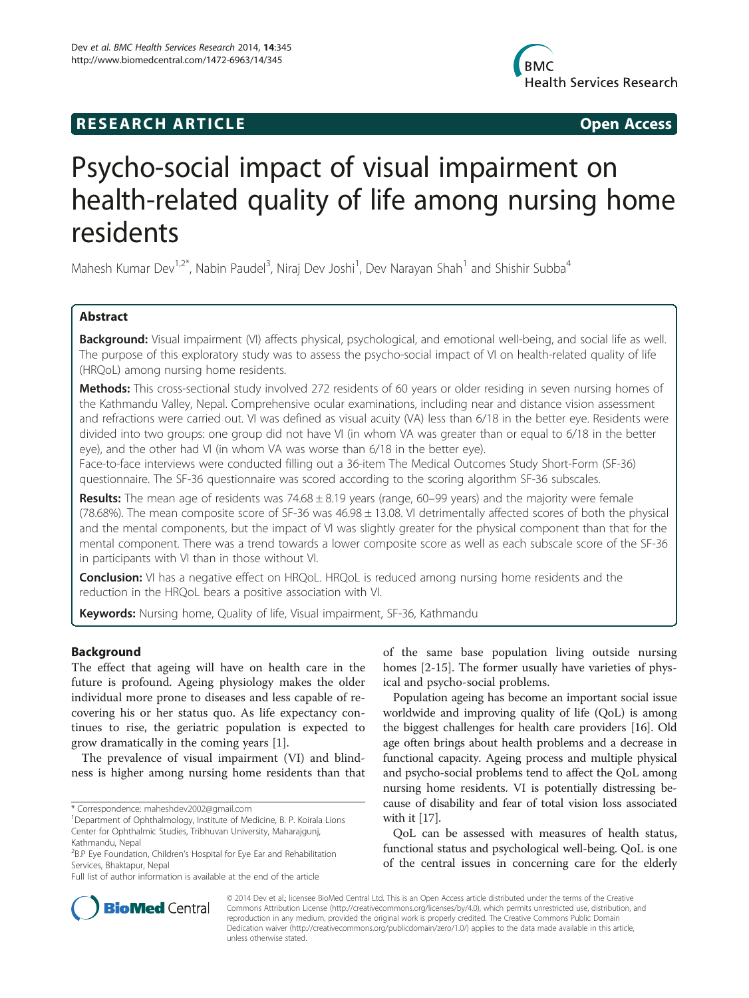# **RESEARCH ARTICLE Example 2014 12:30 The SEAR CHA RESEARCH ARTICLE**



# Psycho-social impact of visual impairment on health-related quality of life among nursing home residents

Mahesh Kumar Dev<sup>1,2\*</sup>, Nabin Paudel<sup>3</sup>, Niraj Dev Joshi<sup>1</sup>, Dev Narayan Shah<sup>1</sup> and Shishir Subba<sup>4</sup>

# Abstract

Background: Visual impairment (VI) affects physical, psychological, and emotional well-being, and social life as well. The purpose of this exploratory study was to assess the psycho-social impact of VI on health-related quality of life (HRQoL) among nursing home residents.

Methods: This cross-sectional study involved 272 residents of 60 years or older residing in seven nursing homes of the Kathmandu Valley, Nepal. Comprehensive ocular examinations, including near and distance vision assessment and refractions were carried out. VI was defined as visual acuity (VA) less than 6/18 in the better eye. Residents were divided into two groups: one group did not have VI (in whom VA was greater than or equal to 6/18 in the better eye), and the other had VI (in whom VA was worse than 6/18 in the better eye).

Face-to-face interviews were conducted filling out a 36-item The Medical Outcomes Study Short-Form (SF-36) questionnaire. The SF-36 questionnaire was scored according to the scoring algorithm SF-36 subscales.

**Results:** The mean age of residents was  $74.68 \pm 8.19$  years (range, 60–99 years) and the majority were female (78.68%). The mean composite score of SF-36 was 46.98 ± 13.08. VI detrimentally affected scores of both the physical and the mental components, but the impact of VI was slightly greater for the physical component than that for the mental component. There was a trend towards a lower composite score as well as each subscale score of the SF-36 in participants with VI than in those without VI.

**Conclusion:** VI has a negative effect on HRQoL. HRQoL is reduced among nursing home residents and the reduction in the HRQoL bears a positive association with VI.

Keywords: Nursing home, Quality of life, Visual impairment, SF-36, Kathmandu

# Background

The effect that ageing will have on health care in the future is profound. Ageing physiology makes the older individual more prone to diseases and less capable of recovering his or her status quo. As life expectancy continues to rise, the geriatric population is expected to grow dramatically in the coming years [[1\]](#page-5-0).

The prevalence of visual impairment (VI) and blindness is higher among nursing home residents than that of the same base population living outside nursing homes [[2](#page-5-0)[-15](#page-6-0)]. The former usually have varieties of physical and psycho-social problems.

Population ageing has become an important social issue worldwide and improving quality of life (QoL) is among the biggest challenges for health care providers [[16](#page-6-0)]. Old age often brings about health problems and a decrease in functional capacity. Ageing process and multiple physical and psycho-social problems tend to affect the QoL among nursing home residents. VI is potentially distressing because of disability and fear of total vision loss associated with it [\[17\]](#page-6-0).

QoL can be assessed with measures of health status, functional status and psychological well-being. QoL is one of the central issues in concerning care for the elderly



© 2014 Dev et al.; licensee BioMed Central Ltd. This is an Open Access article distributed under the terms of the Creative Commons Attribution License [\(http://creativecommons.org/licenses/by/4.0\)](http://creativecommons.org/licenses/by/4.0), which permits unrestricted use, distribution, and reproduction in any medium, provided the original work is properly credited. The Creative Commons Public Domain Dedication waiver [\(http://creativecommons.org/publicdomain/zero/1.0/](http://creativecommons.org/publicdomain/zero/1.0/)) applies to the data made available in this article, unless otherwise stated.

<sup>\*</sup> Correspondence: [maheshdev2002@gmail.com](mailto:maheshdev2002@gmail.com) <sup>1</sup>

<sup>&</sup>lt;sup>1</sup>Department of Ophthalmology, Institute of Medicine, B. P. Koirala Lions Center for Ophthalmic Studies, Tribhuvan University, Maharajgunj, Kathmandu, Nepal

<sup>&</sup>lt;sup>2</sup>B.P Eye Foundation, Children's Hospital for Eye Ear and Rehabilitation Services, Bhaktapur, Nepal

Full list of author information is available at the end of the article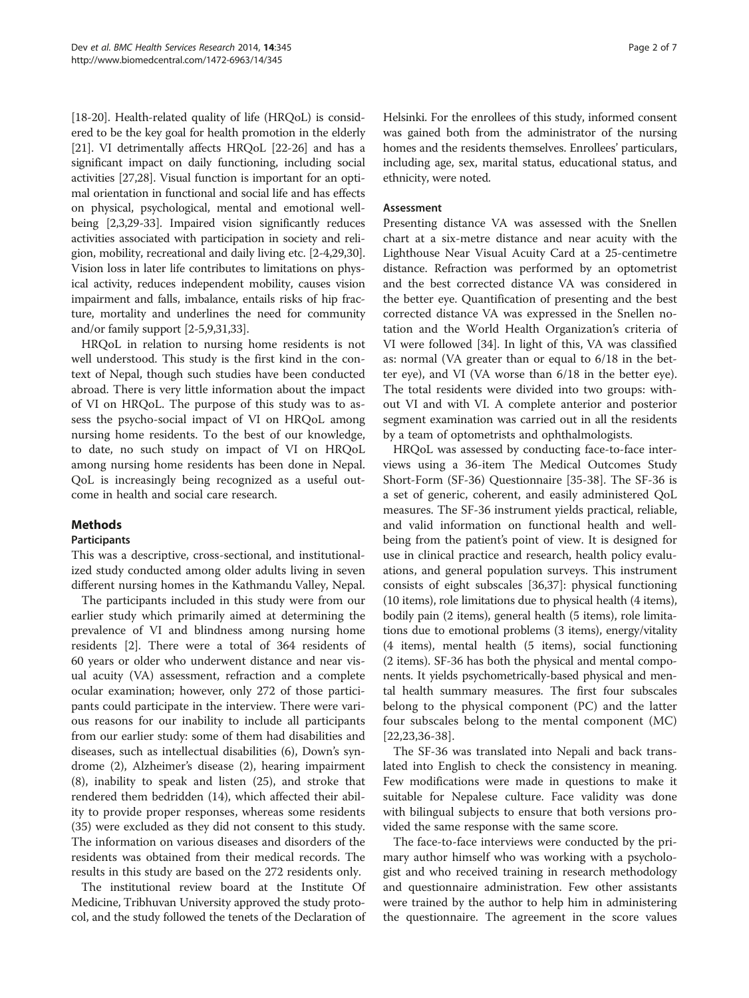[[18](#page-6-0)-[20](#page-6-0)]. Health-related quality of life (HRQoL) is considered to be the key goal for health promotion in the elderly [[21](#page-6-0)]. VI detrimentally affects HRQoL [\[22-26\]](#page-6-0) and has a significant impact on daily functioning, including social activities [\[27,28\]](#page-6-0). Visual function is important for an optimal orientation in functional and social life and has effects on physical, psychological, mental and emotional wellbeing [\[2,3](#page-5-0)[,29-33\]](#page-6-0). Impaired vision significantly reduces activities associated with participation in society and religion, mobility, recreational and daily living etc. [[2-4](#page-5-0)[,29,30](#page-6-0)]. Vision loss in later life contributes to limitations on physical activity, reduces independent mobility, causes vision impairment and falls, imbalance, entails risks of hip fracture, mortality and underlines the need for community and/or family support [[2-5,9,](#page-5-0)[31,33\]](#page-6-0).

HRQoL in relation to nursing home residents is not well understood. This study is the first kind in the context of Nepal, though such studies have been conducted abroad. There is very little information about the impact of VI on HRQoL. The purpose of this study was to assess the psycho-social impact of VI on HRQoL among nursing home residents. To the best of our knowledge, to date, no such study on impact of VI on HRQoL among nursing home residents has been done in Nepal. QoL is increasingly being recognized as a useful outcome in health and social care research.

# Methods

# Participants

This was a descriptive, cross-sectional, and institutionalized study conducted among older adults living in seven different nursing homes in the Kathmandu Valley, Nepal.

The participants included in this study were from our earlier study which primarily aimed at determining the prevalence of VI and blindness among nursing home residents [[2\]](#page-5-0). There were a total of 364 residents of 60 years or older who underwent distance and near visual acuity (VA) assessment, refraction and a complete ocular examination; however, only 272 of those participants could participate in the interview. There were various reasons for our inability to include all participants from our earlier study: some of them had disabilities and diseases, such as intellectual disabilities (6), Down's syndrome (2), Alzheimer's disease (2), hearing impairment (8), inability to speak and listen (25), and stroke that rendered them bedridden (14), which affected their ability to provide proper responses, whereas some residents (35) were excluded as they did not consent to this study. The information on various diseases and disorders of the residents was obtained from their medical records. The results in this study are based on the 272 residents only.

The institutional review board at the Institute Of Medicine, Tribhuvan University approved the study protocol, and the study followed the tenets of the Declaration of Helsinki. For the enrollees of this study, informed consent was gained both from the administrator of the nursing homes and the residents themselves. Enrollees' particulars, including age, sex, marital status, educational status, and ethnicity, were noted.

### Assessment

Presenting distance VA was assessed with the Snellen chart at a six-metre distance and near acuity with the Lighthouse Near Visual Acuity Card at a 25-centimetre distance. Refraction was performed by an optometrist and the best corrected distance VA was considered in the better eye. Quantification of presenting and the best corrected distance VA was expressed in the Snellen notation and the World Health Organization's criteria of VI were followed [\[34](#page-6-0)]. In light of this, VA was classified as: normal (VA greater than or equal to 6/18 in the better eye), and VI (VA worse than 6/18 in the better eye). The total residents were divided into two groups: without VI and with VI. A complete anterior and posterior segment examination was carried out in all the residents by a team of optometrists and ophthalmologists.

HRQoL was assessed by conducting face-to-face interviews using a 36-item The Medical Outcomes Study Short-Form (SF-36) Questionnaire [[35-38\]](#page-6-0). The SF-36 is a set of generic, coherent, and easily administered QoL measures. The SF-36 instrument yields practical, reliable, and valid information on functional health and wellbeing from the patient's point of view. It is designed for use in clinical practice and research, health policy evaluations, and general population surveys. This instrument consists of eight subscales [\[36,37\]](#page-6-0): physical functioning (10 items), role limitations due to physical health (4 items), bodily pain (2 items), general health (5 items), role limitations due to emotional problems (3 items), energy/vitality (4 items), mental health (5 items), social functioning (2 items). SF-36 has both the physical and mental components. It yields psychometrically-based physical and mental health summary measures. The first four subscales belong to the physical component (PC) and the latter four subscales belong to the mental component (MC) [[22,23](#page-6-0),[36-38](#page-6-0)].

The SF-36 was translated into Nepali and back translated into English to check the consistency in meaning. Few modifications were made in questions to make it suitable for Nepalese culture. Face validity was done with bilingual subjects to ensure that both versions provided the same response with the same score.

The face-to-face interviews were conducted by the primary author himself who was working with a psychologist and who received training in research methodology and questionnaire administration. Few other assistants were trained by the author to help him in administering the questionnaire. The agreement in the score values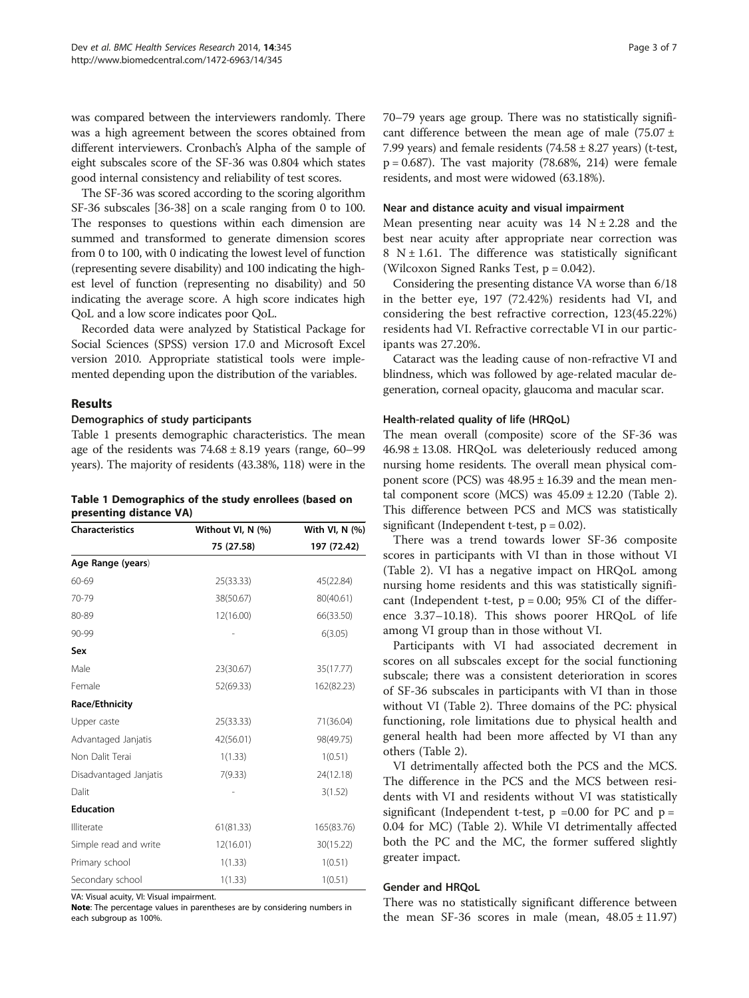was compared between the interviewers randomly. There was a high agreement between the scores obtained from different interviewers. Cronbach's Alpha of the sample of eight subscales score of the SF-36 was 0.804 which states good internal consistency and reliability of test scores.

The SF-36 was scored according to the scoring algorithm SF-36 subscales [[36](#page-6-0)-[38](#page-6-0)] on a scale ranging from 0 to 100. The responses to questions within each dimension are summed and transformed to generate dimension scores from 0 to 100, with 0 indicating the lowest level of function (representing severe disability) and 100 indicating the highest level of function (representing no disability) and 50 indicating the average score. A high score indicates high QoL and a low score indicates poor QoL.

Recorded data were analyzed by Statistical Package for Social Sciences (SPSS) version 17.0 and Microsoft Excel version 2010. Appropriate statistical tools were implemented depending upon the distribution of the variables.

#### Results

#### Demographics of study participants

Table 1 presents demographic characteristics. The mean age of the residents was  $74.68 \pm 8.19$  years (range, 60–99 years). The majority of residents (43.38%, 118) were in the

|                         | Table 1 Demographics of the study enrollees (based on |
|-------------------------|-------------------------------------------------------|
| presenting distance VA) |                                                       |

| <b>Characteristics</b> | Without VI, N (%) | With VI, N (%)<br>197 (72.42) |  |  |
|------------------------|-------------------|-------------------------------|--|--|
|                        | 75 (27.58)        |                               |  |  |
| Age Range (years)      |                   |                               |  |  |
| 60-69                  | 25(33.33)         | 45(22.84)                     |  |  |
| 70-79                  | 38(50.67)         | 80(40.61)                     |  |  |
| 80-89                  | 12(16.00)         | 66(33.50)                     |  |  |
| 90-99                  |                   | 6(3.05)                       |  |  |
| Sex                    |                   |                               |  |  |
| Male                   | 23(30.67)         | 35(17.77)                     |  |  |
| Female                 | 52(69.33)         | 162(82.23)                    |  |  |
| <b>Race/Ethnicity</b>  |                   |                               |  |  |
| Upper caste            | 25(33.33)         | 71(36.04)                     |  |  |
| Advantaged Janjatis    | 42(56.01)         | 98(49.75)                     |  |  |
| Non Dalit Terai        | 1(1.33)           | 1(0.51)                       |  |  |
| Disadvantaged Janjatis | 7(9.33)           | 24(12.18)                     |  |  |
| Dalit                  |                   | 3(1.52)                       |  |  |
| <b>Education</b>       |                   |                               |  |  |
| Illiterate             | 61(81.33)         | 165(83.76)                    |  |  |
| Simple read and write  | 12(16.01)         | 30(15.22)                     |  |  |
| Primary school         | 1(1.33)           | 1(0.51)                       |  |  |
| Secondary school       | 1(1.33)           | 1(0.51)                       |  |  |

VA: Visual acuity, VI: Visual impairment.

Note: The percentage values in parentheses are by considering numbers in each subgroup as 100%.

70–79 years age group. There was no statistically significant difference between the mean age of male  $(75.07 \pm$ 7.99 years) and female residents  $(74.58 \pm 8.27 \text{ years})$  (t-test,  $p = 0.687$ ). The vast majority (78.68%, 214) were female residents, and most were widowed (63.18%).

#### Near and distance acuity and visual impairment

Mean presenting near acuity was  $14 N \pm 2.28$  and the best near acuity after appropriate near correction was 8 N  $\pm$  1.61. The difference was statistically significant (Wilcoxon Signed Ranks Test,  $p = 0.042$ ).

Considering the presenting distance VA worse than 6/18 in the better eye, 197 (72.42%) residents had VI, and considering the best refractive correction, 123(45.22%) residents had VI. Refractive correctable VI in our participants was 27.20%.

Cataract was the leading cause of non-refractive VI and blindness, which was followed by age-related macular degeneration, corneal opacity, glaucoma and macular scar.

#### Health-related quality of life (HRQoL)

The mean overall (composite) score of the SF-36 was  $46.98 \pm 13.08$ . HRQoL was deleteriously reduced among nursing home residents. The overall mean physical component score (PCS) was  $48.95 \pm 16.39$  and the mean mental component score (MCS) was  $45.09 \pm 12.20$  (Table [2](#page-3-0)). This difference between PCS and MCS was statistically significant (Independent t-test,  $p = 0.02$ ).

There was a trend towards lower SF-36 composite scores in participants with VI than in those without VI (Table [2](#page-3-0)). VI has a negative impact on HRQoL among nursing home residents and this was statistically significant (Independent t-test,  $p = 0.00$ ; 95% CI of the difference 3.37–10.18). This shows poorer HRQoL of life among VI group than in those without VI.

Participants with VI had associated decrement in scores on all subscales except for the social functioning subscale; there was a consistent deterioration in scores of SF-36 subscales in participants with VI than in those without VI (Table [2](#page-3-0)). Three domains of the PC: physical functioning, role limitations due to physical health and general health had been more affected by VI than any others (Table [2](#page-3-0)).

VI detrimentally affected both the PCS and the MCS. The difference in the PCS and the MCS between residents with VI and residents without VI was statistically significant (Independent t-test,  $p = 0.00$  for PC and  $p =$ 0.04 for MC) (Table [2\)](#page-3-0). While VI detrimentally affected both the PC and the MC, the former suffered slightly greater impact.

#### Gender and HRQoL

There was no statistically significant difference between the mean SF-36 scores in male (mean,  $48.05 \pm 11.97$ )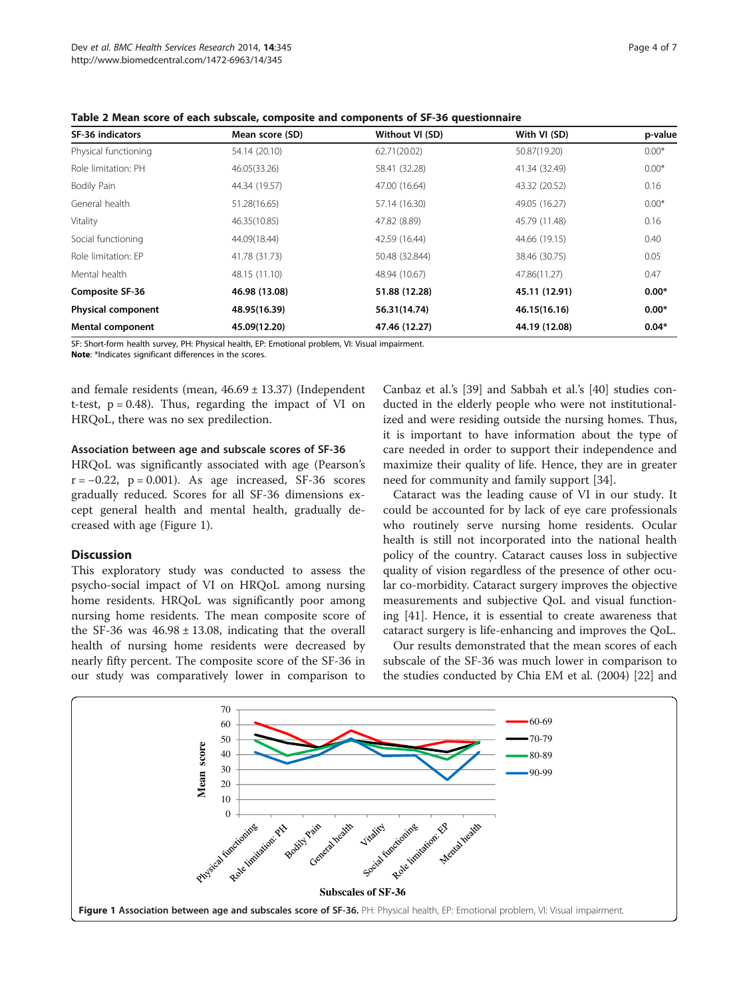| <b>SF-36 indicators</b>   | Mean score (SD) | Without VI (SD) | With VI (SD)  | p-value |
|---------------------------|-----------------|-----------------|---------------|---------|
| Physical functioning      | 54.14 (20.10)   | 62.71(20.02)    | 50.87(19.20)  | $0.00*$ |
| Role limitation: PH       | 46.05(33.26)    | 58.41 (32.28)   | 41.34 (32.49) | $0.00*$ |
| Bodily Pain               | 44.34 (19.57)   | 47.00 (16.64)   | 43.32 (20.52) | 0.16    |
| General health            | 51.28(16.65)    | 57.14 (16.30)   | 49.05 (16.27) | $0.00*$ |
| Vitality                  | 46.35(10.85)    | 47.82 (8.89)    | 45.79 (11.48) | 0.16    |
| Social functioning        | 44.09(18.44)    | 42.59 (16.44)   | 44.66 (19.15) | 0.40    |
| Role limitation: EP       | 41.78 (31.73)   | 50.48 (32.844)  | 38.46 (30.75) | 0.05    |
| Mental health             | 48.15 (11.10)   | 48.94 (10.67)   | 47.86(11.27)  | 0.47    |
| <b>Composite SF-36</b>    | 46.98 (13.08)   | 51.88 (12.28)   | 45.11 (12.91) | $0.00*$ |
| <b>Physical component</b> | 48.95(16.39)    | 56.31(14.74)    | 46.15(16.16)  | $0.00*$ |
| <b>Mental component</b>   | 45.09(12.20)    | 47.46 (12.27)   | 44.19 (12.08) | $0.04*$ |

<span id="page-3-0"></span>Table 2 Mean score of each subscale, composite and components of SF-36 questionnaire

SF: Short-form health survey, PH: Physical health, EP: Emotional problem, VI: Visual impairment.

Note: \*Indicates significant differences in the scores.

and female residents (mean, 46.69 ± 13.37) (Independent t-test,  $p = 0.48$ ). Thus, regarding the impact of VI on HRQoL, there was no sex predilection.

#### Association between age and subscale scores of SF-36

HRQoL was significantly associated with age (Pearson's  $r = -0.22$ ,  $p = 0.001$ ). As age increased, SF-36 scores gradually reduced. Scores for all SF-36 dimensions except general health and mental health, gradually decreased with age (Figure 1).

# **Discussion**

This exploratory study was conducted to assess the psycho-social impact of VI on HRQoL among nursing home residents. HRQoL was significantly poor among nursing home residents. The mean composite score of the SF-36 was  $46.98 \pm 13.08$ , indicating that the overall health of nursing home residents were decreased by nearly fifty percent. The composite score of the SF-36 in our study was comparatively lower in comparison to

Canbaz et al.'s [[39\]](#page-6-0) and Sabbah et al.'s [[40](#page-6-0)] studies conducted in the elderly people who were not institutionalized and were residing outside the nursing homes. Thus, it is important to have information about the type of care needed in order to support their independence and maximize their quality of life. Hence, they are in greater need for community and family support [[34\]](#page-6-0).

Cataract was the leading cause of VI in our study. It could be accounted for by lack of eye care professionals who routinely serve nursing home residents. Ocular health is still not incorporated into the national health policy of the country. Cataract causes loss in subjective quality of vision regardless of the presence of other ocular co-morbidity. Cataract surgery improves the objective measurements and subjective QoL and visual functioning [[41\]](#page-6-0). Hence, it is essential to create awareness that cataract surgery is life-enhancing and improves the QoL.

Our results demonstrated that the mean scores of each subscale of the SF-36 was much lower in comparison to the studies conducted by Chia EM et al. (2004) [\[22](#page-6-0)] and

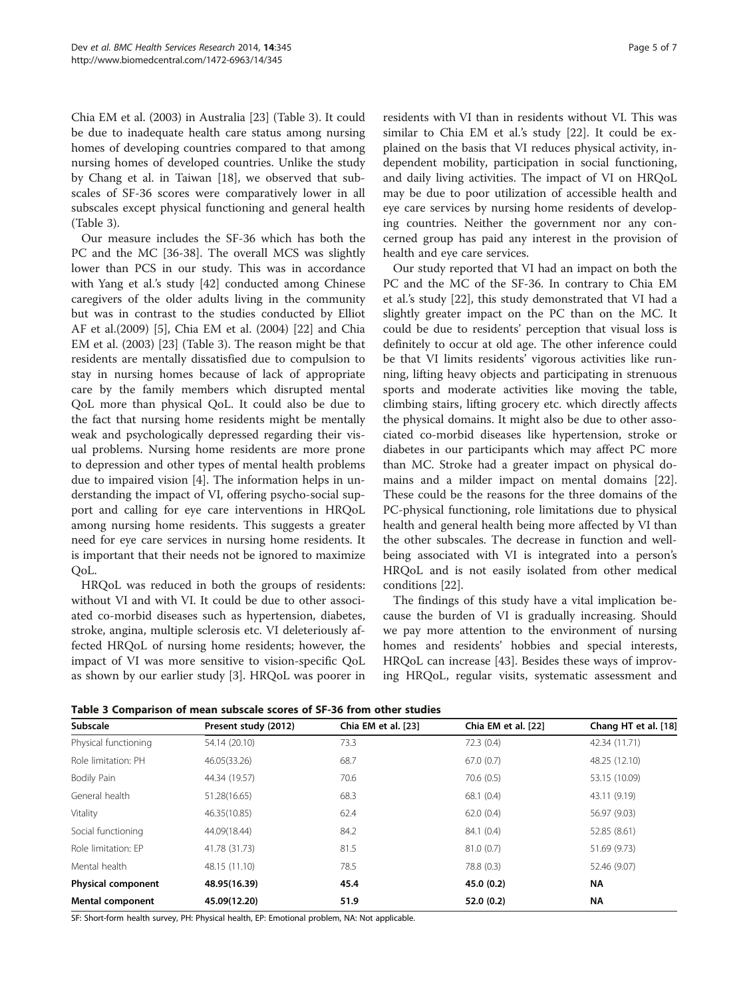Chia EM et al. (2003) in Australia [\[23](#page-6-0)] (Table 3). It could be due to inadequate health care status among nursing homes of developing countries compared to that among nursing homes of developed countries. Unlike the study by Chang et al. in Taiwan [\[18\]](#page-6-0), we observed that subscales of SF-36 scores were comparatively lower in all subscales except physical functioning and general health (Table 3).

Our measure includes the SF-36 which has both the PC and the MC [[36-38\]](#page-6-0). The overall MCS was slightly lower than PCS in our study. This was in accordance with Yang et al.'s study [[42\]](#page-6-0) conducted among Chinese caregivers of the older adults living in the community but was in contrast to the studies conducted by Elliot AF et al.(2009) [\[5](#page-5-0)], Chia EM et al. (2004) [\[22](#page-6-0)] and Chia EM et al. (2003) [\[23\]](#page-6-0) (Table 3). The reason might be that residents are mentally dissatisfied due to compulsion to stay in nursing homes because of lack of appropriate care by the family members which disrupted mental QoL more than physical QoL. It could also be due to the fact that nursing home residents might be mentally weak and psychologically depressed regarding their visual problems. Nursing home residents are more prone to depression and other types of mental health problems due to impaired vision [\[4\]](#page-5-0). The information helps in understanding the impact of VI, offering psycho-social support and calling for eye care interventions in HRQoL among nursing home residents. This suggests a greater need for eye care services in nursing home residents. It is important that their needs not be ignored to maximize QoL.

HRQoL was reduced in both the groups of residents: without VI and with VI. It could be due to other associated co-morbid diseases such as hypertension, diabetes, stroke, angina, multiple sclerosis etc. VI deleteriously affected HRQoL of nursing home residents; however, the impact of VI was more sensitive to vision-specific QoL as shown by our earlier study [\[3](#page-5-0)]. HRQoL was poorer in

residents with VI than in residents without VI. This was similar to Chia EM et al.'s study [[22](#page-6-0)]. It could be explained on the basis that VI reduces physical activity, independent mobility, participation in social functioning, and daily living activities. The impact of VI on HRQoL may be due to poor utilization of accessible health and eye care services by nursing home residents of developing countries. Neither the government nor any concerned group has paid any interest in the provision of health and eye care services.

Our study reported that VI had an impact on both the PC and the MC of the SF-36. In contrary to Chia EM et al.'s study [[22](#page-6-0)], this study demonstrated that VI had a slightly greater impact on the PC than on the MC. It could be due to residents' perception that visual loss is definitely to occur at old age. The other inference could be that VI limits residents' vigorous activities like running, lifting heavy objects and participating in strenuous sports and moderate activities like moving the table, climbing stairs, lifting grocery etc. which directly affects the physical domains. It might also be due to other associated co-morbid diseases like hypertension, stroke or diabetes in our participants which may affect PC more than MC. Stroke had a greater impact on physical domains and a milder impact on mental domains [\[22](#page-6-0)]. These could be the reasons for the three domains of the PC-physical functioning, role limitations due to physical health and general health being more affected by VI than the other subscales. The decrease in function and wellbeing associated with VI is integrated into a person's HRQoL and is not easily isolated from other medical conditions [[22](#page-6-0)].

The findings of this study have a vital implication because the burden of VI is gradually increasing. Should we pay more attention to the environment of nursing homes and residents' hobbies and special interests, HRQoL can increase [[43](#page-6-0)]. Besides these ways of improving HRQoL, regular visits, systematic assessment and

|  | Table 3 Comparison of mean subscale scores of SF-36 from other studies |  |  |  |  |  |  |  |
|--|------------------------------------------------------------------------|--|--|--|--|--|--|--|
|--|------------------------------------------------------------------------|--|--|--|--|--|--|--|

| Present study (2012)               | Chia EM et al. [23] | Chia EM et al. [22] | Chang HT et al. [18] |  |
|------------------------------------|---------------------|---------------------|----------------------|--|
| 54.14 (20.10)                      | 73.3                | 72.3(0.4)           | 42.34 (11.71)        |  |
| 46.05(33.26)                       | 68.7<br>67.0(0.7)   |                     | 48.25 (12.10)        |  |
| 70.6(0.5)<br>44.34 (19.57)<br>70.6 |                     |                     | 53.15 (10.09)        |  |
| 68.1(0.4)<br>51.28(16.65)<br>68.3  |                     |                     | 43.11 (9.19)         |  |
| 46.35(10.85)                       | 62.4                | 62.0(0.4)           | 56.97 (9.03)         |  |
| 44.09(18.44)                       | 84.2                | 84.1 (0.4)          | 52.85 (8.61)         |  |
| 41.78 (31.73)                      | 81.5                | 81.0(0.7)           | 51.69 (9.73)         |  |
| 48.15 (11.10)                      | 78.5                | 78.8 (0.3)          | 52.46 (9.07)         |  |
| 48.95(16.39)                       | 45.4                | 45.0 (0.2)          | NΑ                   |  |
| 45.09(12.20)                       | 51.9                | 52.0(0.2)           | <b>NA</b>            |  |
|                                    |                     |                     |                      |  |

SF: Short-form health survey, PH: Physical health, EP: Emotional problem, NA: Not applicable.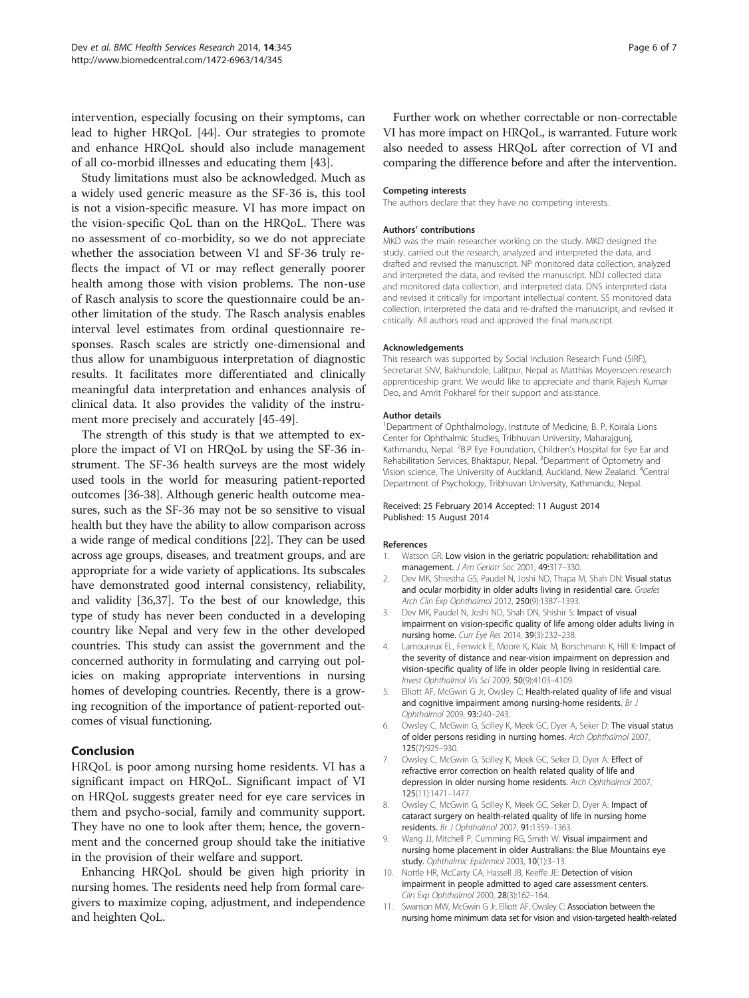<span id="page-5-0"></span>intervention, especially focusing on their symptoms, can lead to higher HRQoL [\[44\]](#page-6-0). Our strategies to promote and enhance HRQoL should also include management of all co-morbid illnesses and educating them [[43\]](#page-6-0).

Study limitations must also be acknowledged. Much as a widely used generic measure as the SF-36 is, this tool is not a vision-specific measure. VI has more impact on the vision-specific QoL than on the HRQoL. There was no assessment of co-morbidity, so we do not appreciate whether the association between VI and SF-36 truly reflects the impact of VI or may reflect generally poorer health among those with vision problems. The non-use of Rasch analysis to score the questionnaire could be another limitation of the study. The Rasch analysis enables interval level estimates from ordinal questionnaire responses. Rasch scales are strictly one-dimensional and thus allow for unambiguous interpretation of diagnostic results. It facilitates more differentiated and clinically meaningful data interpretation and enhances analysis of clinical data. It also provides the validity of the instrument more precisely and accurately [[45-49\]](#page-6-0).

The strength of this study is that we attempted to explore the impact of VI on HRQoL by using the SF-36 instrument. The SF-36 health surveys are the most widely used tools in the world for measuring patient-reported outcomes [\[36](#page-6-0)-[38](#page-6-0)]. Although generic health outcome measures, such as the SF-36 may not be so sensitive to visual health but they have the ability to allow comparison across a wide range of medical conditions [[22](#page-6-0)]. They can be used across age groups, diseases, and treatment groups, and are appropriate for a wide variety of applications. Its subscales have demonstrated good internal consistency, reliability, and validity [\[36,37](#page-6-0)]. To the best of our knowledge, this type of study has never been conducted in a developing country like Nepal and very few in the other developed countries. This study can assist the government and the concerned authority in formulating and carrying out policies on making appropriate interventions in nursing homes of developing countries. Recently, there is a growing recognition of the importance of patient-reported outcomes of visual functioning.

# Conclusion

HRQoL is poor among nursing home residents. VI has a significant impact on HRQoL. Significant impact of VI on HRQoL suggests greater need for eye care services in them and psycho-social, family and community support. They have no one to look after them; hence, the government and the concerned group should take the initiative in the provision of their welfare and support.

Enhancing HRQoL should be given high priority in nursing homes. The residents need help from formal caregivers to maximize coping, adjustment, and independence and heighten QoL.

Further work on whether correctable or non-correctable VI has more impact on HRQoL, is warranted. Future work also needed to assess HRQoL after correction of VI and comparing the difference before and after the intervention.

#### Competing interests

The authors declare that they have no competing interests.

#### Authors' contributions

MKD was the main researcher working on the study. MKD designed the study, carried out the research, analyzed and interpreted the data, and drafted and revised the manuscript. NP monitored data collection, analyzed and interpreted the data, and revised the manuscript. NDJ collected data and monitored data collection, and interpreted data. DNS interpreted data and revised it critically for important intellectual content. SS monitored data collection, interpreted the data and re-drafted the manuscript, and revised it critically. All authors read and approved the final manuscript.

#### Acknowledgements

This research was supported by Social Inclusion Research Fund (SIRF), Secretariat SNV, Bakhundole, Lalitpur, Nepal as Matthias Moyersoen research apprenticeship grant. We would like to appreciate and thank Rajesh Kumar Deo, and Amrit Pokharel for their support and assistance.

#### Author details

<sup>1</sup>Department of Ophthalmology, Institute of Medicine, B. P. Koirala Lions Center for Ophthalmic Studies, Tribhuvan University, Maharajgunj, Kathmandu, Nepal. <sup>2</sup>B.P Eye Foundation, Children's Hospital for Eye Ear and Rehabilitation Services, Bhaktapur, Nepal. <sup>3</sup>Department of Optometry and Vision science, The University of Auckland, Auckland, New Zealand. <sup>4</sup>Central Department of Psychology, Tribhuvan University, Kathmandu, Nepal.

#### Received: 25 February 2014 Accepted: 11 August 2014 Published: 15 August 2014

#### References

- 1. Watson GR: Low vision in the geriatric population: rehabilitation and management. J Am Geriatr Soc 2001, 49:317-330.
- 2. Dev MK, Shrestha GS, Paudel N, Joshi ND, Thapa M, Shah DN: Visual status and ocular morbidity in older adults living in residential care. Graefes Arch Clin Exp Ophthalmol 2012, 250(9):1387–1393.
- 3. Dev MK, Paudel N, Joshi ND, Shah DN, Shishir S: Impact of visual impairment on vision-specific quality of life among older adults living in nursing home. Curr Eye Res 2014, 39(3):232–238.
- 4. Lamoureux EL, Fenwick E, Moore K, Klaic M, Borschmann K, Hill K: Impact of the severity of distance and near-vision impairment on depression and vision-specific quality of life in older people living in residential care. Invest Ophthalmol Vis Sci 2009, 50(9):4103–4109.
- 5. Elliott AF, McGwin G Jr, Owsley C: Health-related quality of life and visual and cognitive impairment among nursing-home residents. Br J Ophthalmol 2009, 93:240–243.
- 6. Owsley C, McGwin G, Scilley K, Meek GC, Dyer A, Seker D: The visual status of older persons residing in nursing homes. Arch Ophthalmol 2007, 125(7):925–930.
- 7. Owsley C, McGwin G, Scilley K, Meek GC, Seker D, Dyer A: Effect of refractive error correction on health related quality of life and depression in older nursing home residents. Arch Ophthalmol 2007, 125(11):1471–1477.
- 8. Owsley C, McGwin G, Scilley K, Meek GC, Seker D, Dyer A: Impact of cataract surgery on health-related quality of life in nursing home residents. Br J Ophthalmol 2007, 91:1359–1363.
- 9. Wang JJ, Mitchell P, Cumming RG, Smith W: Visual impairment and nursing home placement in older Australians: the Blue Mountains eye study. Ophthalmic Epidemiol 2003, 10(1):3–13.
- 10. Nottle HR, McCarty CA, Hassell JB, Keeffe JE: Detection of vision impairment in people admitted to aged care assessment centers. Clin Exp Ophthalmol 2000, 28(3):162–164.
- 11. Swanson MW, McGwin G Jr, Elliott AF, Owsley C: Association between the nursing home minimum data set for vision and vision-targeted health-related